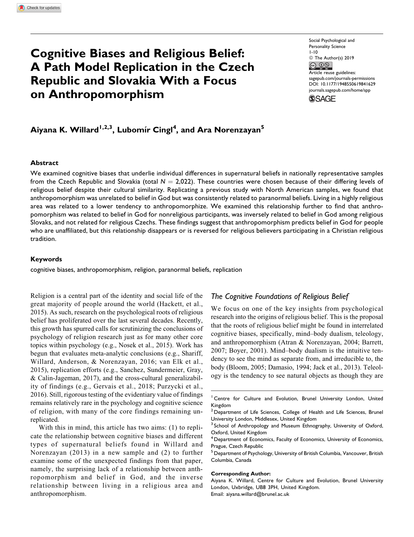# Cognitive Biases and Religious Belief: A Path Model Replication in the Czech Republic and Slovakia With a Focus on Anthropomorphism

Social Psychological and Personality Science 1-10  $\circledcirc$  The Author(s) 2019<br> $\circledcirc$ Article reuse guidelines: [sagepub.com/journals-permissions](https://sagepub.com/journals-permissions) [DOI: 10.1177/1948550619841629](https://doi.org/10.1177/1948550619841629) [journals.sagepub.com/home/spp](http://journals.sagepub.com/home/spp)**SSAGE** 

Aiyana K. Willard<sup>1,2,3</sup>, Lubomír Cingl<sup>4</sup>, and Ara Norenzayan<sup>5</sup>

### **Abstract**

We examined cognitive biases that underlie individual differences in supernatural beliefs in nationally representative samples from the Czech Republic and Slovakia (total  $N = 2,022$ ). These countries were chosen because of their differing levels of religious belief despite their cultural similarity. Replicating a previous study with North American samples, we found that anthropomorphism was unrelated to belief in God but was consistently related to paranormal beliefs. Living in a highly religious area was related to a lower tendency to anthropomorphize. We examined this relationship further to find that anthropomorphism was related to belief in God for nonreligious participants, was inversely related to belief in God among religious Slovaks, and not related for religious Czechs. These findings suggest that anthropomorphism predicts belief in God for people who are unaffiliated, but this relationship disappears or is reversed for religious believers participating in a Christian religious tradition.

#### Keywords

cognitive biases, anthropomorphism, religion, paranormal beliefs, replication

Religion is a central part of the identity and social life of the great majority of people around the world (Hackett, et al., 2015). As such, research on the psychological roots of religious belief has proliferated over the last several decades. Recently, this growth has spurred calls for scrutinizing the conclusions of psychology of religion research just as for many other core topics within psychology (e.g., Nosek et al., 2015). Work has begun that evaluates meta-analytic conclusions (e.g., Shariff, Willard, Anderson, & Norenzayan, 2016; van Elk et al., 2015), replication efforts (e.g., Sanchez, Sundermeier, Gray, & Calin-Jageman, 2017), and the cross-cultural generalizability of findings (e.g., Gervais et al., 2018; Purzycki et al., 2016). Still, rigorous testing of the evidentiary value of findings remains relatively rare in the psychology and cognitive science of religion, with many of the core findings remaining unreplicated.

With this in mind, this article has two aims: (1) to replicate the relationship between cognitive biases and different types of supernatural beliefs found in Willard and Norenzayan (2013) in a new sample and (2) to further examine some of the unexpected findings from that paper, namely, the surprising lack of a relationship between anthropomorphism and belief in God, and the inverse relationship between living in a religious area and anthropomorphism.

## The Cognitive Foundations of Religious Belief

We focus on one of the key insights from psychological research into the origins of religious belief. This is the proposal that the roots of religious belief might be found in interrelated cognitive biases, specifically, mind–body dualism, teleology, and anthropomorphism (Atran & Norenzayan, 2004; Barrett, 2007; Boyer, 2001). Mind–body dualism is the intuitive tendency to see the mind as separate from, and irreducible to, the body (Bloom, 2005; Damasio, 1994; Jack et al., 2013). Teleology is the tendency to see natural objects as though they are

<sup>1</sup> Centre for Culture and Evolution, Brunel University London, United Kingdom

#### Corresponding Author:

 $2$  Department of Life Sciences, College of Health and Life Sciences, Brunel University London, Middlesex, United Kingdom

<sup>&</sup>lt;sup>3</sup> School of Anthropology and Museum Ethnography, University of Oxford, Oxford, United Kingdom

<sup>&</sup>lt;sup>4</sup> Department of Economics, Faculty of Economics, University of Economics, Prague, Czech Republic

<sup>5</sup> Department of Psychology, University of British Columbia, Vancouver, British Columbia, Canada

Aiyana K. Willard, Centre for Culture and Evolution, Brunel University London, Uxbridge, UB8 3PH, United Kingdom. Email: [aiyana.willard@brunel.ac.uk](mailto:aiyana.willard@brunel.ac.uk)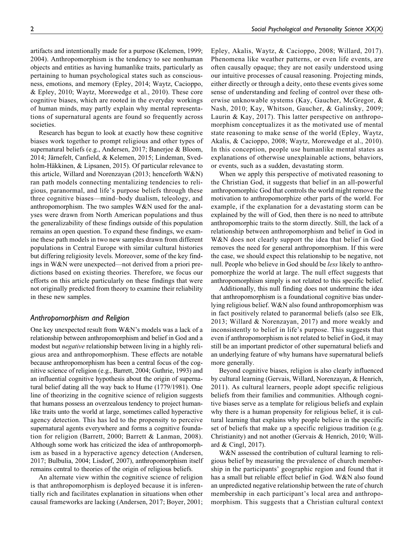artifacts and intentionally made for a purpose (Kelemen, 1999; 2004). Anthropomorphism is the tendency to see nonhuman objects and entities as having humanlike traits, particularly as pertaining to human psychological states such as consciousness, emotions, and memory (Epley, 2014; Waytz, Cacioppo, & Epley, 2010; Waytz, Morewedge et al., 2010). These core cognitive biases, which are rooted in the everyday workings of human minds, may partly explain why mental representations of supernatural agents are found so frequently across societies.

Research has begun to look at exactly how these cognitive biases work together to prompt religious and other types of supernatural beliefs (e.g., Andersen, 2017; Banerjee & Bloom, 2014; Järnefelt, Canfield, & Kelemen, 2015; Lindeman, Svedholm-Häkkinen, & Lipsanen, 2015). Of particular relevance to this article, Willard and Norenzayan (2013; henceforth W&N) ran path models connecting mentalizing tendencies to religious, paranormal, and life's purpose beliefs through these three cognitive biases—mind–body dualism, teleology, and anthropomorphism. The two samples W&N used for the analyses were drawn from North American populations and thus the generalizability of these findings outside of this population remains an open question. To expand these findings, we examine these path models in two new samples drawn from different populations in Central Europe with similar cultural histories but differing religiosity levels. Moreover, some of the key findings in W&N were unexpected—not derived from a priori predictions based on existing theories. Therefore, we focus our efforts on this article particularly on these findings that were not originally predicted from theory to examine their reliability in these new samples.

### Anthropomorphism and Religion

One key unexpected result from W&N's models was a lack of a relationship between anthropomorphism and belief in God and a modest but *negative* relationship between living in a highly religious area and anthropomorphism. These effects are notable because anthropomorphism has been a central focus of the cognitive science of religion (e.g., Barrett, 2004; Guthrie, 1993) and an influential cognitive hypothesis about the origin of supernatural belief dating all the way back to Hume (1779/1981). One line of theorizing in the cognitive science of religion suggests that humans possess an overzealous tendency to project humanlike traits unto the world at large, sometimes called hyperactive agency detection. This has led to the propensity to perceive supernatural agents everywhere and forms a cognitive foundation for religion (Barrett, 2000; Barrett & Lanman, 2008). Although some work has criticized the idea of anthropomorphism as based in a hyperactive agency detection (Andersen, 2017; Bulbulia, 2004; Lisdorf, 2007), anthropomorphism itself remains central to theories of the origin of religious beliefs.

An alternate view within the cognitive science of religion is that anthropomorphism is deployed because it is inferentially rich and facilitates explanation in situations when other causal frameworks are lacking (Andersen, 2017; Boyer, 2001;

Epley, Akalis, Waytz, & Cacioppo, 2008; Willard, 2017). Phenomena like weather patterns, or even life events, are often causally opaque; they are not easily understood using our intuitive processes of causal reasoning. Projecting minds, either directly or through a deity, onto these events gives some sense of understanding and feeling of control over these otherwise unknowable systems (Kay, Gaucher, McGregor, & Nash, 2010; Kay, Whitson, Gaucher, & Galinsky, 2009; Laurin & Kay, 2017). This latter perspective on anthropomorphism conceptualizes it as the motivated use of mental state reasoning to make sense of the world (Epley, Waytz, Akalis, & Cacioppo, 2008; Waytz, Morewedge et al., 2010). In this conception, people use humanlike mental states as explanations of otherwise unexplainable actions, behaviors, or events, such as a sudden, devastating storm.

When we apply this perspective of motivated reasoning to the Christian God, it suggests that belief in an all-powerful anthropomorphic God that controls the world might remove the motivation to anthropomorphize other parts of the world. For example, if the explanation for a devastating storm can be explained by the will of God, then there is no need to attribute anthropomorphic traits to the storm directly. Still, the lack of a relationship between anthropomorphism and belief in God in W&N does not clearly support the idea that belief in God removes the need for general anthropomorphism. If this were the case, we should expect this relationship to be negative, not null. People who believe in God should be *less* likely to anthropomorphize the world at large. The null effect suggests that anthropomorphism simply is not related to this specific belief.

Additionally, this null finding does not undermine the idea that anthropomorphism is a foundational cognitive bias underlying religious belief. W&N also found anthropomorphism was in fact positively related to paranormal beliefs (also see Elk, 2013; Willard & Norenzayan, 2017) and more weakly and inconsistently to belief in life's purpose. This suggests that even if anthropomorphism is not related to belief in God, it may still be an important predictor of other supernatural beliefs and an underlying feature of why humans have supernatural beliefs more generally.

Beyond cognitive biases, religion is also clearly influenced by cultural learning (Gervais, Willard, Norenzayan, & Henrich, 2011). As cultural learners, people adopt specific religious beliefs from their families and communities. Although cognitive biases serve as a template for religious beliefs and explain why there is a human propensity for religious belief, it is cultural learning that explains why people believe in the specific set of beliefs that make up a specific religious tradition (e.g. Christianity) and not another (Gervais & Henrich, 2010; Willard & Cingl, 2017).

W&N assessed the contribution of cultural learning to religious belief by measuring the prevalence of church membership in the participants' geographic region and found that it has a small but reliable effect belief in God. W&N also found an unpredicted negative relationship between the rate of church membership in each participant's local area and anthropomorphism. This suggests that a Christian cultural context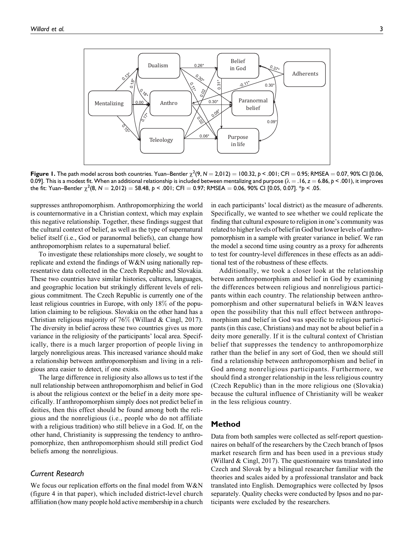

**Figure 1.** The path model across both countries. Yuan–Bentler  $\chi^2(9, N = 2,012) = 100.32, p < .001;$  CFI  $= 0.95;$  RMSEA  $= 0.07,$  90% CI [0.06, 0.09]. This is a modest fit. When an additional relationship is included between mentalizing and purpose  $(\lambda = .16, z = 6.86, p < .001)$ , it improves the fit: Yuan–Bentler  $\chi^2(8, N=2,012)=58.48$ ,  $\rho < .001;$  CFI  $=$  0.97; RMSEA  $=$  0.06, 90% CI [0.05, 0.07].  $^*p$  < .05.

suppresses anthropomorphism. Anthropomorphizing the world is counternormative in a Christian context, which may explain this negative relationship. Together, these findings suggest that the cultural context of belief, as well as the type of supernatural belief itself (i.e., God or paranormal beliefs), can change how anthropomorphism relates to a supernatural belief.

To investigate these relationships more closely, we sought to replicate and extend the findings of W&N using nationally representative data collected in the Czech Republic and Slovakia. These two countries have similar histories, cultures, languages, and geographic location but strikingly different levels of religious commitment. The Czech Republic is currently one of the least religious countries in Europe, with only 18% of the population claiming to be religious. Slovakia on the other hand has a Christian religious majority of 76% (Willard & Cingl, 2017). The diversity in belief across these two countries gives us more variance in the religiosity of the participants' local area. Specifically, there is a much larger proportion of people living in largely nonreligious areas. This increased variance should make a relationship between anthropomorphism and living in a religious area easier to detect, if one exists.

The large difference in religiosity also allows us to test if the null relationship between anthropomorphism and belief in God is about the religious context or the belief in a deity more specifically. If anthropomorphism simply does not predict belief in deities, then this effect should be found among both the religious and the nonreligious (i.e., people who do not affiliate with a religious tradition) who still believe in a God. If, on the other hand, Christianity is suppressing the tendency to anthropomorphize, then anthropomorphism should still predict God beliefs among the nonreligious.

### Current Research

We focus our replication efforts on the final model from W&N (figure 4 in that paper), which included district-level church affiliation (how many people hold active membership in a church in each participants' local district) as the measure of adherents. Specifically, we wanted to see whether we could replicate the finding that cultural exposure to religion in one's community was related to higher levels of belief in God but lower levels of anthropomorphism in a sample with greater variance in belief. We ran the model a second time using country as a proxy for adherents to test for country-level differences in these effects as an additional test of the robustness of these effects.

Additionally, we took a closer look at the relationship between anthropomorphism and belief in God by examining the differences between religious and nonreligious participants within each country. The relationship between anthropomorphism and other supernatural beliefs in W&N leaves open the possibility that this null effect between anthropomorphism and belief in God was specific to religious participants (in this case, Christians) and may not be about belief in a deity more generally. If it is the cultural context of Christian belief that suppresses the tendency to anthropomorphize rather than the belief in any sort of God, then we should still find a relationship between anthropomorphism and belief in God among nonreligious participants. Furthermore, we should find a stronger relationship in the less religious country (Czech Republic) than in the more religious one (Slovakia) because the cultural influence of Christianity will be weaker in the less religious country.

# Method

Data from both samples were collected as self-report questionnaires on behalf of the researchers by the Czech branch of Ipsos market research firm and has been used in a previous study (Willard & Cingl, 2017). The questionnaire was translated into Czech and Slovak by a bilingual researcher familiar with the theories and scales aided by a professional translator and back translated into English. Demographics were collected by Ipsos separately. Quality checks were conducted by Ipsos and no participants were excluded by the researchers.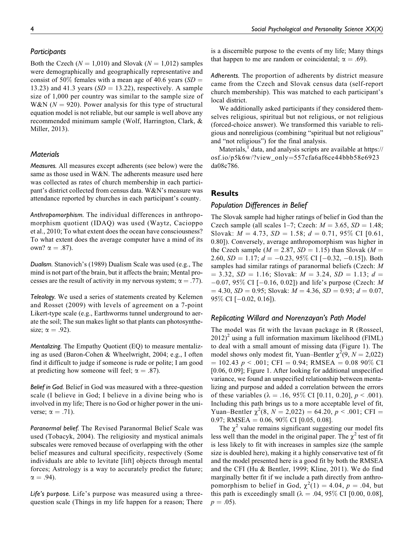### **Participants**

Both the Czech ( $N = 1,010$ ) and Slovak ( $N = 1,012$ ) samples were demographically and geographically representative and consist of 50% females with a mean age of 40.6 years ( $SD =$ 13.23) and 41.3 years ( $SD = 13.22$ ), respectively. A sample size of 1,000 per country was similar to the sample size of W&N ( $N = 920$ ). Power analysis for this type of structural equation model is not reliable, but our sample is well above any recommended minimum sample (Wolf, Harrington, Clark, & Miller, 2013).

## **Materials**

Measures. All measures except adherents (see below) were the same as those used in W&N. The adherents measure used here was collected as rates of church membership in each participant's district collected from census data. W&N's measure was attendance reported by churches in each participant's county.

Anthropomorphism. The individual differences in anthropomorphism quotient (IDAQ) was used (Waytz, Cacioppo et al., 2010; To what extent does the ocean have consciousness? To what extent does the average computer have a mind of its own?  $\alpha = .87$ ).

Dualism. Stanovich's (1989) Dualism Scale was used (e.g., The mind is not part of the brain, but it affects the brain; Mental processes are the result of activity in my nervous system;  $\alpha = .77$ ).

Teleology. We used a series of statements created by Kelemen and Rosset (2009) with levels of agreement on a 7-point Likert-type scale (e.g., Earthworms tunnel underground to aerate the soil; The sun makes light so that plants can photosynthesize;  $\alpha = .92$ ).

Mentalizing. The Empathy Quotient (EQ) to measure mentalizing as used (Baron-Cohen & Wheelwright, 2004; e.g., I often find it difficult to judge if someone is rude or polite; I am good at predicting how someone will feel;  $\alpha = .87$ ).

Belief in God. Belief in God was measured with a three-question scale (I believe in God; I believe in a divine being who is involved in my life; There is no God or higher power in the universe;  $\alpha = .71$ ).

Paranormal belief. The Revised Paranormal Belief Scale was used (Tobacyk, 2004). The religiosity and mystical animals subscales were removed because of overlapping with the other belief measures and cultural specificity, respectively (Some individuals are able to levitate [lift] objects through mental forces; Astrology is a way to accurately predict the future;  $\alpha = .94$ ).

Life's purpose. Life's purpose was measured using a threequestion scale (Things in my life happen for a reason; There is a discernible purpose to the events of my life; Many things that happen to me are random or coincidental;  $\alpha = .69$ ).

Adherents. The proportion of adherents by district measure came from the Czech and Slovak census data (self-report church membership). This was matched to each participant's local district.

We additionally asked participants if they considered themselves religious, spiritual but not religious, or not religious (forced-choice answer). We transformed this variable to religious and nonreligious (combining "spiritual but not religious" and "not religious") for the final analysis.

Materials, $<sup>1</sup>$  data, and analysis scripts are available at [https://](https://osf.io/p5k6w/?view_only=557cfa6af6ce44bbb58e6923da08c786)</sup> [osf.io/p5k6w/?view\\_only](https://osf.io/p5k6w/?view_only=557cfa6af6ce44bbb58e6923da08c786)=[557cfa6af6ce44bbb58e6923](https://osf.io/p5k6w/?view_only=557cfa6af6ce44bbb58e6923da08c786) [da08c786](https://osf.io/p5k6w/?view_only=557cfa6af6ce44bbb58e6923da08c786).

### **Results**

## Population Differences in Belief

The Slovak sample had higher ratings of belief in God than the Czech sample (all scales 1–7; Czech:  $M = 3.65$ ,  $SD = 1.48$ ; Slovak:  $M = 4.73$ ,  $SD = 1.58$ ;  $d = 0.71$ , 95% CI [0.61, 0.80]). Conversely, average anthropomorphism was higher in the Czech sample ( $M = 2.87$ ,  $SD = 1.15$ ) than Slovak ( $M =$ 2.60,  $SD = 1.17$ ;  $d = -0.23$ , 95% CI [ $-0.32$ ,  $-0.15$ ]). Both samples had similar ratings of paranormal beliefs (Czech: M  $= 3.32, SD = 1.16$ ; Slovak:  $M = 3.24, SD = 1.13$ ;  $d =$  $-0.07$ , 95% CI [ $-0.16$ , 0.02]) and life's purpose (Czech: *M*  $= 4.30, SD = 0.95$ ; Slovak:  $M = 4.36, SD = 0.93; d = 0.07$ , 95% CI [-0.02, 0.16]).

### Replicating Willard and Norenzayan's Path Model

The model was fit with the lavaan package in R (Rosseel,  $2012$ <sup>2</sup> using a full information maximum likelihood (FIML) to deal with a small amount of missing data (Figure 1). The model shows only modest fit, Yuan–Bentler  $\chi^2(9, N = 2,022)$  $= 102.43 \ p \le .001$ ; CFI  $= 0.94$ ; RMSEA  $= 0.08 \ 90\%$  CI [0.06, 0.09]; Figure 1. After looking for additional unspecified variance, we found an unspecified relationship between mentalizing and purpose and added a correlation between the errors of these variables ( $\lambda = .16, 95\%$  CI [0.11, 0.20],  $p < .001$ ). Including this path brings us to a more acceptable level of fit, Yuan–Bentler  $\chi^2(8, N = 2,022) = 64.20, p < .001$ ; CFI = 0.97; RMSEA =  $0.06$ , 90% CI [0.05, 0.08].

The  $\chi^2$  value remains significant suggesting our model fits less well than the model in the original paper. The  $\chi^2$  test of fit is less likely to fit with increases in samples size (the sample size is doubled here), making it a highly conservative test of fit and the model presented here is a good fit by both the RMSEA and the CFI (Hu & Bentler, 1999; Kline, 2011). We do find marginally better fit if we include a path directly from anthropomorphism to belief in God,  $\chi^2(1) = 4.04$ ,  $p = .04$ , but this path is exceedingly small ( $\lambda = .04, 95\%$  CI [0.00, 0.08],  $p = .05$ ).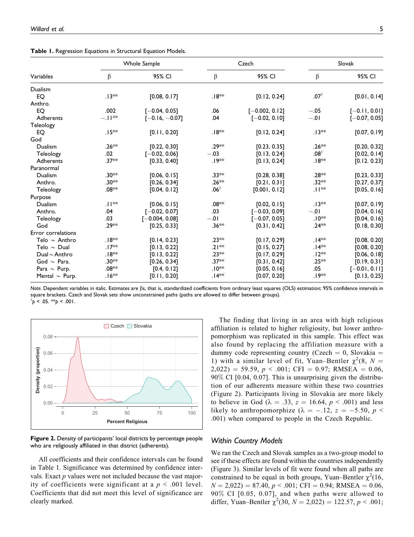|  |  |  |  | Table 1. Regression Equations in Structural Equation Models. |  |  |
|--|--|--|--|--------------------------------------------------------------|--|--|
|--|--|--|--|--------------------------------------------------------------|--|--|

|                     |          | Whole Sample     |                    | Czech            |                    | Slovak          |
|---------------------|----------|------------------|--------------------|------------------|--------------------|-----------------|
| Variables           | β        | 95% CI           | β                  | 95% CI           | β                  | 95% CI          |
| Dualism             |          |                  |                    |                  |                    |                 |
| EO                  | .13**    | [0.08, 0.17]     | .18 <sup>∗</sup> * | [0.12, 0.24]     | $.07^{\dagger}$    | [0.01, 0.14]    |
| Anthro.             |          |                  |                    |                  |                    |                 |
| EO                  | .002     | $[-0.04, 0.05]$  | .06                | $[-0.002, 0.12]$ | $-.05$             | $[-0.11, 0.01]$ |
| Adherents           | $-.11**$ | $[-0.16, -0.07]$ | .04                | $[-0.02, 0.10]$  | $-.01$             | $[-0.07, 0.05]$ |
| Teleology           |          |                  |                    |                  |                    |                 |
| EO                  | $.15**$  | [0.11, 0.20]     | .18 <sup>∗∗</sup>  | [0.12, 0.24]     | $.13**$            | [0.07, 0.19]    |
| God                 |          |                  |                    |                  |                    |                 |
| Dualism             | $.26**$  | [0.22, 0.30]     | .29**              | [0.23, 0.35]     | .26**              | [0.20, 0.32]    |
| Teleology           | .02      | $[-0.02, 0.06]$  | $-.03$             | [0.13, 0.24]     | $.08^{\dagger}$    | [0.02, 0.14]    |
| Adherents           | $.37**$  | [0.33, 0.40]     | .19**              | [0.13, 0.24]     | .18**              | [0.12. 0.23]    |
| Paranormal          |          |                  |                    |                  |                    |                 |
| Dualism             | .30**    | [0.06, 0.15]     | $.33**$            | [0.28, 0.38]     | .28**              | [0.23, 0.33]    |
| Anthro.             | .30**    | [0.26, 0.34]     | $.26**$            | [0.21, 0.31]     | .32 <sup>∗</sup> * | [0.27, 0.37]    |
| Teleology           | .08**    | [0.04, 0.12]     | $.06^{\dagger}$    | [0.001, 0.12]    | **ا ا.             | [0.05, 0.16]    |
| Purpose             |          |                  |                    |                  |                    |                 |
| Dualism             | .  **    | [0.06, 0.15]     | $.08**$            | [0.02, 0.15]     | $.13**$            | [0.07, 0.19]    |
| Anthro.             | .04      | $[-0.02, 0.07]$  | .03                | $[-0.03, 0.09]$  | $-.01$             | [0.04, 0.16]    |
| Teleology           | .03      | $[-0.004, 0.08]$ | $-0.0$             | $[-0.07, 0.05]$  | .10**              | [0.04, 0.16]    |
| God                 | .29**    | [0.25, 0.33]     | $.36**$            | [0.31, 0.42]     | $.24**$            | [0.18, 0.30]    |
| Error correlations  |          |                  |                    |                  |                    |                 |
| Telo $\sim$ Anthro  | .∣8∗∗    | [0.14, 0.23]     | $.23**$            | [0.17, 0.29]     | .∣4**              | [0.08, 0.20]    |
| Telo $\sim$ Dual    | $.17**$  | [0.13, 0.22]     | $.21**$            | [0.15, 0.27]     | $.14**$            | [0.08, 0.20]    |
| Dual $\sim$ Anthro  | .18**    | [0.13, 0.22]     | $.23**$            | [0.17, 0.29]     | $.12**$            | [0.06, 0.18]    |
| God $\sim$ Para.    | .30**    | [0.26, 0.34]     | $.37**$            | [0.31, 0.42]     | $.25**$            | [0.19, 0.31]    |
| Para $\sim$ Purp.   | $.08**$  | [0.4, 0.12]      | $.10**$            | [0.05, 0.16]     | .05                | $[-0.01, 0.11]$ |
| Mental $\sim$ Purp. | .∣6**    | [0.11, 0.20]     | .∣4**              | [0.07, 0.20]     | .19**              | [0.13, 0.25]    |

Note. Dependent variables in italic. Estimates are Bs, that is, standardized coefficients from ordinary least squares (OLS) estimation; 95% confidence intervals in square brackets. Czech and Slovak sets show unconstrained paths (paths are allowed to differ between groups).  $\phi$  < .05. \*\*p < .001.



Figure 2. Density of participants' local districts by percentage people who are religiously affiliated in that district (adherents).

All coefficients and their confidence intervals can be found in Table 1. Significance was determined by confidence intervals. Exact  $p$  values were not included because the vast majority of coefficients were significant at a  $p < .001$  level. Coefficients that did not meet this level of significance are clearly marked.

The finding that living in an area with high religious affiliation is related to higher religiosity, but lower anthropomorphism was replicated in this sample. This effect was also found by replacing the affiliation measure with a dummy code representing country (Czech  $= 0$ , Slovakia  $=$ 1) with a similar level of fit, Yuan–Bentler  $\chi^2(8, N =$  $2,022$ ) = 59.59, p < .001; CFI = 0.97; RMSEA = 0.06, 90% CI [0.04, 0.07]. This is unsurprising given the distribution of our adherents measure within these two countries (Figure 2). Participants living in Slovakia are more likely to believe in God ( $\lambda = .33$ ,  $z = 16.64$ ,  $p < .001$ ) and less likely to anthropomorphize ( $\lambda = -.12$ ,  $z = -5.50$ ,  $p <$ .001) when compared to people in the Czech Republic.

### Within Country Models

We ran the Czech and Slovak samples as a two-group model to see if these effects are found within the countries independently (Figure 3). Similar levels of fit were found when all paths are constrained to be equal in both groups, Yuan–Bentler  $\chi^2(16,$  $N = 2,022$ ) = 87.40,  $p < .001$ ; CFI = 0.94; RMSEA = 0.06, 90% CI [0.05, 0.07], and when paths were allowed to differ, Yuan–Bentler  $\chi^2(30, N = 2,022) = 122.57, p < .001;$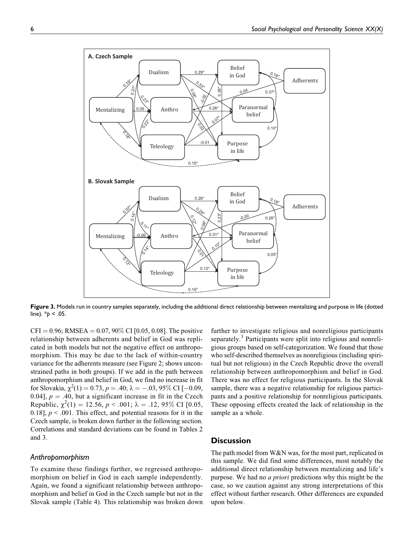

Figure 3. Models run in country samples separately, including the additional direct relationship between mentalizing and purpose in life (dotted line).  $*_{p}$  < .05.

 $CFI = 0.96$ ; RMSEA = 0.07, 90% CI [0.05, 0.08]. The positive relationship between adherents and belief in God was replicated in both models but not the negative effect on anthropomorphism. This may be due to the lack of within-country variance for the adherents measure (see Figure 2; shows unconstrained paths in both groups). If we add in the path between anthropomorphism and belief in God, we find no increase in fit for Slovakia,  $\chi^2(1) = 0.73$ ,  $p = .40$ ;  $\lambda = -.03, 95\%$  CI [-0.09, 0.04],  $p = .40$ , but a significant increase in fit in the Czech Republic,  $\chi^2(1) = 12.56$ ,  $p < .001$ ;  $\lambda = .12, 95\%$  CI [0.05, 0.18],  $p < 0.001$ . This effect, and potential reasons for it in the Czech sample, is broken down further in the following section. Correlations and standard deviations can be found in Tables 2 and 3.

## Anthropomorphism

To examine these findings further, we regressed anthropomorphism on belief in God in each sample independently. Again, we found a significant relationship between anthropomorphism and belief in God in the Czech sample but not in the Slovak sample (Table 4). This relationship was broken down

further to investigate religious and nonreligious participants separately.<sup>3</sup> Participants were split into religious and nonreligious groups based on self-categorization. We found that those who self-described themselves as nonreligious (including spiritual but not religious) in the Czech Republic drove the overall relationship between anthropomorphism and belief in God. There was no effect for religious participants. In the Slovak sample, there was a negative relationship for religious participants and a positive relationship for nonreligious participants. These opposing effects created the lack of relationship in the sample as a whole.

## **Discussion**

The path model from W&N was, for the most part, replicated in this sample. We did find some differences, most notably the additional direct relationship between mentalizing and life's purpose. We had no *a priori* predictions why this might be the case, so we caution against any strong interpretations of this effect without further research. Other differences are expanded upon below.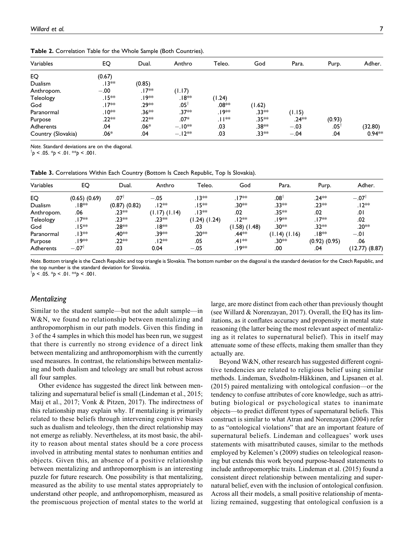| Variables          | EQ      | Dual.   | Anthro          | Teleo. | God     | Para.   | Purp.           | Adher.   |
|--------------------|---------|---------|-----------------|--------|---------|---------|-----------------|----------|
| EQ                 | (0.67)  |         |                 |        |         |         |                 |          |
| Dualism            | $.13**$ | (0.85)  |                 |        |         |         |                 |          |
| Anthropom.         | $-.00$  | .17**   | (1.17)          |        |         |         |                 |          |
| Teleology          | $.15**$ | .19**   | .18**           | (1.24) |         |         |                 |          |
| God                | $.17**$ | .29**   | $.05^{\dagger}$ | .08**  | (1.62)  |         |                 |          |
| Paranormal         | .10**   | $.36**$ | $.37**$         | .⊺9**  | $.33**$ | (1.15)  |                 |          |
| Purpose            | .22**   | .22 **  | $.07*$          | .∏**   | .35**   | $.24**$ | (0.93)          |          |
| Adherents          | .04     | $.06*$  | $-.10**$        | .03    | .38**   | $-.03$  | $.05^{\dagger}$ | (32.80)  |
| Country (Slovakia) | .06*    | .04     | $-.12**$        | .03    | .33**   | $-.04$  | .04             | $0.94**$ |

Table 2. Correlation Table for the Whole Sample (Both Countries).

Note. Standard deviations are on the diagonal.

 $\phi$  < .05. \*p < .01. \*\*p < .001.

Table 3. Correlations Within Each Country (Bottom Is Czech Republic, Top Is Slovakia).

| Variables      | EQ                  | Dual.              | Anthro            | Teleo.             | God               | Para.             | Purp.             | Adher.           |
|----------------|---------------------|--------------------|-------------------|--------------------|-------------------|-------------------|-------------------|------------------|
| EQ             | $(0.65)$ $(0.69)$   | .071               | $-.05$            | $.13**$            | $.17**$           | $.08^{\top}$      | $.24**$           | $-.07^{\dagger}$ |
| <b>Dualism</b> | .18**               | $(0.87)$ $(0.82)$  | $.12**$           | .∣5**              | .30**             | .33**             | .23**             | $.12**$          |
| Anthropom.     | .06                 | $.23**$            | $(1.17)$ $(1.14)$ | .13**              | .02               | $.35**$           | .02               | .01              |
| Teleology      | .∣7**               | .23**              | $23**$            | $(1.24)$ $(1.24)$  | .12**             | ,ו איי9           | .I7**             | .02              |
| God            | $15**$              | .28**              | .18**             | .03                | $(1.58)$ $(1.48)$ | .30**             | .32**             | .20**            |
| Paranormal     | .13**               | .40 <sup>*</sup> * | .39**             | .20 <sup>*</sup> * | .44**             | $(1.14)$ $(1.16)$ | .18**             | $-.01$           |
| Purpose        | .19**               | .22**              | $.12**$           | .05                | $.41**$           | .30**             | $(0.92)$ $(0.95)$ | .06              |
| Adherents      | $-.07$ <sup>†</sup> | .03                | 0.04              | $-.05$             | .19**             | .00               | .04               | (12.77) (8.87)   |

Note. Bottom triangle is the Czech Republic and top triangle is Slovakia. The bottom number on the diagonal is the standard deviation for the Czech Republic, and the top number is the standard deviation for Slovakia.

 $\phi$  < .05. \*p < .01. \*\*p < .001.

## **Mentalizing**

Similar to the student sample—but not the adult sample—in W&N, we found no relationship between mentalizing and anthropomorphism in our path models. Given this finding in 3 of the 4 samples in which this model has been run, we suggest that there is currently no strong evidence of a direct link between mentalizing and anthropomorphism with the currently used measures. In contrast, the relationships between mentalizing and both dualism and teleology are small but robust across all four samples.

Other evidence has suggested the direct link between mentalizing and supernatural belief is small (Lindeman et al., 2015; Maij et al., 2017; Vonk & Pitzen, 2017). The indirectness of this relationship may explain why. If mentalizing is primarily related to these beliefs through intervening cognitive biases such as dualism and teleology, then the direct relationship may not emerge as reliably. Nevertheless, at its most basic, the ability to reason about mental states should be a core process involved in attributing mental states to nonhuman entities and objects. Given this, an absence of a positive relationship between mentalizing and anthropomorphism is an interesting puzzle for future research. One possibility is that mentalizing, measured as the ability to use mental states appropriately to understand other people, and anthropomorphism, measured as the promiscuous projection of mental states to the world at

large, are more distinct from each other than previously thought (see Willard & Norenzayan, 2017). Overall, the EQ has its limitations, as it conflates accuracy and propensity in mental state reasoning (the latter being the most relevant aspect of mentalizing as it relates to supernatural belief). This in itself may attenuate some of these effects, making them smaller than they actually are.

Beyond W&N, other research has suggested different cognitive tendencies are related to religious belief using similar methods. Lindeman, Svedholm-Häkkinen, and Lipsanen et al. (2015) paired mentalizing with ontological confusion—or the tendency to confuse attributes of core knowledge, such as attributing biological or psychological states to inanimate objects—to predict different types of supernatural beliefs. This construct is similar to what Atran and Norenzayan (2004) refer to as "ontological violations" that are an important feature of supernatural beliefs. Lindeman and colleagues' work uses statements with misattributed causes, similar to the methods employed by Kelemen's (2009) studies on teleological reasoning but extends this work beyond purpose-based statements to include anthropomorphic traits. Lindeman et al. (2015) found a consistent direct relationship between mentalizing and supernatural belief, even with the inclusion of ontological confusion. Across all their models, a small positive relationship of mentalizing remained, suggesting that ontological confusion is a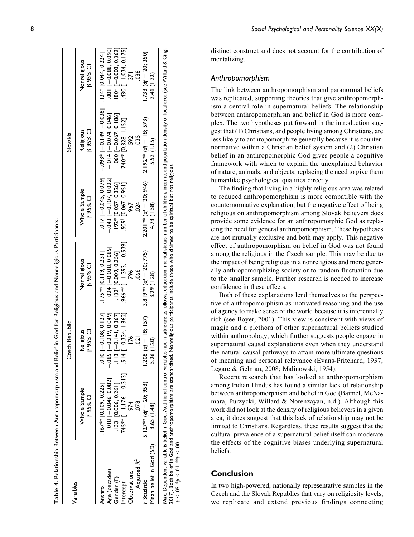|                         |                                                                                                                                                                                                                                | Czech Republic               |                                                             |                                 | Slovakia                                                             |                                 |
|-------------------------|--------------------------------------------------------------------------------------------------------------------------------------------------------------------------------------------------------------------------------|------------------------------|-------------------------------------------------------------|---------------------------------|----------------------------------------------------------------------|---------------------------------|
| Variables               | Whole Sample<br><b>B</b> 95% CI                                                                                                                                                                                                | <b>B</b> 95% CI<br>Religious | Nonreligious<br><b>B</b> 95% CI                             | Whole Sample<br>$\beta$ 95% CI  | <b>B</b> 95% CI<br>Religious                                         | Nonreligious<br><b>B</b> 95% CI |
| Anthro.                 | $167**$ [0.109, 0.225]                                                                                                                                                                                                         | $010$ $[-0.108, 0.127]$      | $.175**$ [0.119, 0.231]                                     |                                 | .0.17 $[-20.045, 0.079]$ $[-0.149, -0.080]$ $[-0.024, 0.044, 0.224]$ |                                 |
| $Age$ (decades)         |                                                                                                                                                                                                                                | $-0.085$ [ $-0.21$ 9, 0.049] |                                                             | $-0.43$ [ $-0.107, 0.022$ ]     | $-0.014$ [ $-0.074$ , 0.046]                                         | $.001$ $[-0.088, 0.090]$        |
| Gender (F)              | $.018$ $[-0.046, 0.082]$<br>$.133$ † $[0.006, 0.26]$ ]                                                                                                                                                                         | $3[-0.141, 0.367]$           | $.024$ $[-0.038, 0.085]$<br>$.132^{\dagger}$ [0.009, 0.256] | .192* [0.057, 0.326]            | $.060[-0.067, 0.186]$                                                | $.180*$ [ $-0.003, 0.362$ ]     |
| Intercept               | $-.745**$ [-1.176, -0.313]                                                                                                                                                                                                     | $4[-0.334, 1.362]$           | $.966**$ [-1.393, -0.539]                                   | 509 <sup>†</sup> [0.067, 0.951] | 740** [0.328, 1.152]                                                 | $-430[-1.034, 0.175]$           |
| Observations            | 974                                                                                                                                                                                                                            | 176                          | 796                                                         | 967                             | 592                                                                  | $\frac{27}{ }$                  |
| Adjusted R <sup>2</sup> | $\frac{8}{2}$                                                                                                                                                                                                                  | ຣຸ                           | 066                                                         | 024                             | 035                                                                  | 038                             |
| Statistic               | 5.127** $(df = 20; 953)$                                                                                                                                                                                                       | $1.208$ (df = 18; 157)       | $3.819***$ (df = 20; 775)                                   | $2.201***$ (df = 20; 946)       | $2.192***$ (df = 18; 573)                                            | $1.733 (df = 20; 350)$          |
| Mean belief in God (SD) | 3.65 (1.48)                                                                                                                                                                                                                    | 5.26 (1.20)                  | 3.29 (1.28)                                                 | 4.73 (1.58)                     | 5.53 (1.15)                                                          | 3.46 (1.32)                     |
|                         | le Develop the state of the state of the state of the state of the state of the state of the state of the state of the state of the state of the state of the state of the state of the state of the state of the state of the |                              |                                                             |                                 |                                                                      |                                 |

ดี๊<br>5 Note. Dependent variable is belief in God. Additional control variables not in table are as follows: education, marital status, number of children, income, and population density of local area (see Willard & Cingl, Willard & see<br>C ನ 듢 ğ ត density Note. Dependent variable is belief in God. Additional control variables not in table are as follows: education, marital status, number of children, income, and population v<br>2017). Both belief in God and anthropomorphism a 2017). Both belief in God and anthropomorphism are standardized. Nonreligious participants include those who claimed to be spiritual but not religious.  $p < .05.$  \*p < .01. \*\*p < .001.

distinct construct and does not account for the contribution of mentalizing.

## Anthropomorphism

The link between anthropomorphism and paranormal beliefs was replicated, supporting theories that give anthropomorphism a central role in supernatural beliefs. The relationship between anthropomorphism and belief in God is more complex. The two hypotheses put forward in the introduction suggest that (1) Christians, and people living among Christians, are less likely to anthropomorphize generally because it is counternormative within a Christian belief system and (2) Christian belief in an anthropomorphic God gives people a cognitive framework with which to explain the unexplained behavior of nature, animals, and objects, replacing the need to give them humanlike psychological qualities directly.

The finding that living in a highly religious area was related to reduced anthropomorphism is more compatible with the counternormative explanation, but the negative effect of being religious on anthropomorphism among Slovak believers does provide some evidence for an anthropomorphic God as replacing the need for general anthropomorphism. These hypotheses are not mutually exclusive and both may apply. This negative effect of anthropomorphism on belief in God was not found among the religious in the Czech sample. This may be due to the impact of being religious in a nonreligious and more generally anthropomorphizing society or to random fluctuation due to the smaller sample. Further research is needed to increase confidence in these effects.

Both of these explanations lend themselves to the perspective of anthropomorphism as motivated reasoning and the use of agency to make sense of the world because it is inferentially rich (see Boyer, 2001). This view is consistent with views of magic and a plethora of other supernatural beliefs studied within anthropology, which further suggests people engage in supernatural causal explanations even when they understand the natural causal pathways to attain more ultimate questions of meaning and personal relevance (Evans-Pritchard, 1937; Legare & Gelman, 2008; Malinowski, 1954).

Recent research that has looked at anthropomorphism among Indian Hindus has found a similar lack of relationship between anthropomorphism and belief in God (Baimel, McNamara, Purzycki, Willard & Norenzayan, n.d.). Although this work did not look at the density of religious believers in a given area, it does suggest that this lack of relationship may not be limited to Christians. Regardless, these results suggest that the cultural prevalence of a supernatural belief itself can moderate the effects of the cognitive biases underlying supernatural beliefs.

# Conclusion

In two high-powered, nationally representative samples in the Czech and the Slovak Republics that vary on religiosity levels, we replicate and extend previous findings connecting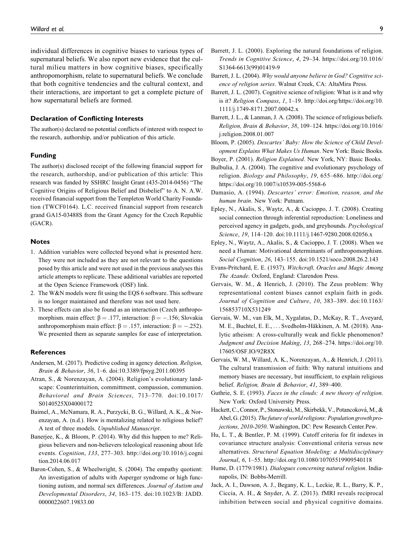individual differences in cognitive biases to various types of supernatural beliefs. We also report new evidence that the cultural milieu matters in how cognitive biases, specifically anthropomorphism, relate to supernatural beliefs. We conclude that both cognitive tendencies and the cultural context, and their interactions, are important to get a complete picture of how supernatural beliefs are formed.

#### Declaration of Conflicting Interests

The author(s) declared no potential conflicts of interest with respect to the research, authorship, and/or publication of this article.

#### Funding

The author(s) disclosed receipt of the following financial support for the research, authorship, and/or publication of this article: This research was funded by SSHRC Insight Grant (435-2014-0456) "The Cognitive Origins of Religious Belief and Disbelief" to A. N. A.W. received financial support from the Templeton World Charity Foundation (TWCF0164). L.C. received financial support from research grand GA15-03488S from the Grant Agency for the Czech Republic (GACR).

### Notes

- 1. Addition variables were collected beyond what is presented here. They were not included as they are not relevant to the questions posed by this article and were not used in the previous analyses this article attempts to replicate. These additional variables are reported at the Open Science Framework (OSF) link.
- 2. The W&N models were fit using the EQS 6 software. This software is no longer maintained and therefore was not used here.
- 3. These effects can also be found as an interaction (Czech anthropomorphism. main effect:  $\beta = .177$ , interaction:  $\beta = -.156$ ; Slovakia anthropomorphism main effect:  $\beta = .157$ , interaction:  $\beta = -.252$ ). We presented them as separate samples for ease of interpretation.

#### **References**

- Andersen, M. (2017). Predictive coding in agency detection. Religion, Brain & Behavior, 36, 1–6. doi:10.3389/fpsyg.2011.00395
- Atran, S., & Norenzayan, A. (2004). Religion's evolutionary landscape: Counterintuition, committment, compassion, communion. Behavioral and Brain Sciences, 713–770. doi:10.1017/ S0140525X04000172
- Baimel, A., McNamara, R. A., Purzycki, B. G., Willard, A. K., & Norenzayan, A. (n.d.). How is mentalizing related to religious belief? A test of three models. Unpublished Manuscript.
- Banerjee, K., & Bloom, P. (2014). Why did this happen to me? Religious believers and non-believers teleological reasoning about life events. Cognition, 133, 277–303. [http://doi.org/10.1016/j.cogni](http://doi.org/10.1016/j.cognition.2014.06.017) [tion.2014.06.017](http://doi.org/10.1016/j.cognition.2014.06.017)
- Baron-Cohen, S., & Wheelwright, S. (2004). The empathy quotient: An investigation of adults with Asperger syndrome or high functioning autism, and normal sex differences. Journal of Autism and Developmental Disorders, 34, 163–175. doi:10.1023/B: JADD. 0000022607.19833.00
- Barrett, J. L. (2000). Exploring the natural foundations of religion. Trends in Cognitive Science, 4, 29–34. [https://doi.org/10.1016/](https://doi.org/10.1016/S1364-6613(99)01419-9) [S1364-6613\(99\)01419-9](https://doi.org/10.1016/S1364-6613(99)01419-9)
- Barrett, J. L. (2004). Why would anyone believe in God? Cognitive science of religion series. Walnut Creek, CA: AltaMira Press.
- Barrett, J. L. (2007). Cognitive science of religion: What is it and why is it? Religion Compass, 1, 1–19. [http://doi.org/https://doi.org/10.](http://doi.org/https://doi.org/10.1111/j.1749-8171.2007.00042.x) [1111/j.1749-8171.2007.00042.x](http://doi.org/https://doi.org/10.1111/j.1749-8171.2007.00042.x)
- Barrett, J. L., & Lanman, J. A. (2008). The science of religious beliefs. Religion, Brain & Behavior, 38, 109–124. [https://doi.org/10.1016/](https://doi.org/10.1016/j.religion.2008.01.007) [j.religion.2008.01.007](https://doi.org/10.1016/j.religion.2008.01.007)
- Bloom, P. (2005). Descartes' Baby: How the Science of Child Development Explains What Makes Us Human. New York: Basic Books.
- Boyer, P. (2001). Religion Explained. New York, NY: Basic Books.
- Bulbulia, J. A. (2004). The cognitive and evolutionary psychology of religion. Biology and Philosophy, 19, 655–686. [http://doi.org/](http://doi.org/https://doi.org/10.1007/s10539-005-5568-6) [https://doi.org/10.1007/s10539-005-5568-6](http://doi.org/https://doi.org/10.1007/s10539-005-5568-6)
- Damasio, A. (1994). Descartes' error: Emotion, reason, and the human brain. New York: Putnam.
- Epley, N., Akalis, S., Waytz, A., & Cacioppo, J. T. (2008). Creating social connection through inferential reproduction: Loneliness and perceived agency in gadgets, gods, and greyhounds. Psychological Science, 19, 114–120. doi:10.1111/j.1467-9280.2008.02056.x
- Epley, N., Waytz, A., Akalis, S., & Cacioppo, J. T. (2008). When we need a Human: Motivational determinants of anthropomorphism. Social Cognition, 26, 143–155. doi:10.1521/soco.2008.26.2.143
- Evans-Pritchard, E. E. (1937). Witchcraft, Oracles and Magic Among The Azande. Oxford, England: Clarendon Press.
- Gervais, W. M., & Henrich, J. (2010). The Zeus problem: Why representational content biases cannot explain faith in gods. Journal of Cognition and Culture, 10, 383–389. doi:10.1163/ 156853710X531249
- Gervais, W. M., van Elk, M., Xygalatas, D., McKay, R. T., Aveyard, M. E., Buchtel, E. E., . . . Svedholm-Häkkinen, A. M. (2018). Analytic atheism: A cross-culturally weak and fickle phenomenon? Judgment and Decision Making, 13, 268–274. [https://doi.org/10.](https://doi.org/10.17605/OSF.IO/92R8X) [17605/OSF.IO/92R8X](https://doi.org/10.17605/OSF.IO/92R8X)
- Gervais, W. M., Willard, A. K., Norenzayan, A., & Henrich, J. (2011). The cultural transmission of faith: Why natural intuitions and memory biases are necessary, but insufficient, to explain religious belief. Religion, Brain & Behavior, 41, 389–400.
- Guthrie, S. E. (1993). Faces in the clouds: A new theory of religion. New York: Oxford University Press.
- Hackett, C., Connor, P., Stonawski, M., Skirbekk, V., Potancoková, M., & Abel, G. (2015). The future of world religions: Population growth projections, 2010-2050. Washington, DC: Pew Research Center.Pew.
- Hu, L. T., & Bentler, P. M. (1999). Cutoff criteria for fit indexes in covariance structure analysis: Conventional criteria versus new alternatives. Structural Equation Modeling: a Multidisciplinary Journal, 6, 1–55.<http://doi.org/10.1080/10705519909540118>
- Hume, D. (1779/1981). Dialogues concerning natural religion. Indianapolis, IN: Bobbs-Merrill.
- Jack, A. I., Dawson, A. J., Begany, K. L., Leckie, R. L., Barry, K. P., Ciccia, A. H., & Snyder, A. Z. (2013). fMRI reveals reciprocal inhibition between social and physical cognitive domains.